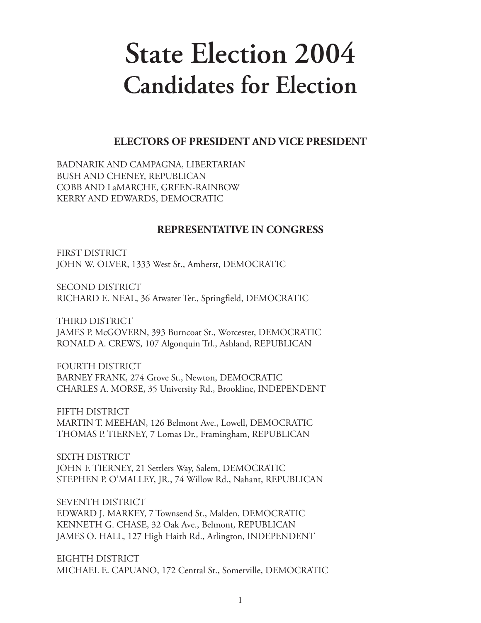# **State Election 2004 Candidates for Election**

## **ELECTORS OF PRESIDENT AND VICE PRESIDENT**

BADNARIK AND CAMPAGNA, LIBERTARIAN BUSH AND CHENEY, REPUBLICAN COBB AND LaMARCHE, GREEN-RAINBOW KERRY AND EDWARDS, DEMOCRATIC

#### **REPRESENTATIVE IN CONGRESS**

FIRST DISTRICT JOHN W. OLVER, 1333 West St., Amherst, DEMOCRATIC

SECOND DISTRICT RICHARD E. NEAL, 36 Atwater Ter., Springfield, DEMOCRATIC

THIRD DISTRICT JAMES P. McGOVERN, 393 Burncoat St., Worcester, DEMOCRATIC RONALD A. CREWS, 107 Algonquin Trl., Ashland, REPUBLICAN

FOURTH DISTRICT BARNEY FRANK, 274 Grove St., Newton, DEMOCRATIC CHARLES A. MORSE, 35 University Rd., Brookline, INDEPENDENT

FIFTH DISTRICT MARTIN T. MEEHAN, 126 Belmont Ave., Lowell, DEMOCRATIC THOMAS P. TIERNEY, 7 Lomas Dr., Framingham, REPUBLICAN

SIXTH DISTRICT JOHN F. TIERNEY, 21 Settlers Way, Salem, DEMOCRATIC STEPHEN P. O'MALLEY, JR., 74 Willow Rd., Nahant, REPUBLICAN

SEVENTH DISTRICT EDWARD J. MARKEY, 7 Townsend St., Malden, DEMOCRATIC KENNETH G. CHASE, 32 Oak Ave., Belmont, REPUBLICAN JAMES O. HALL, 127 High Haith Rd., Arlington, INDEPENDENT

EIGHTH DISTRICT MICHAEL E. CAPUANO, 172 Central St., Somerville, DEMOCRATIC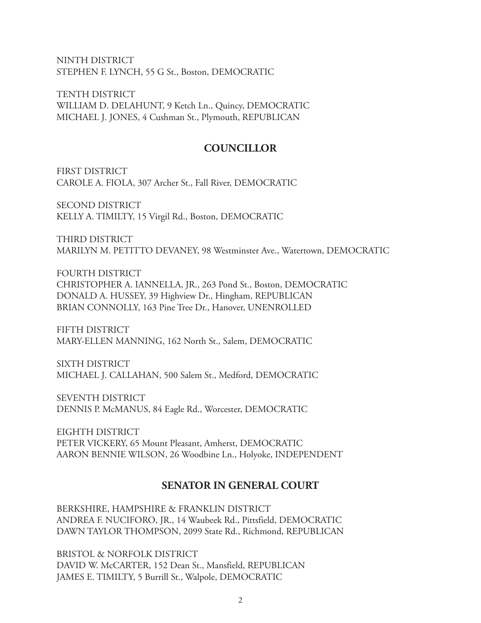NINTH DISTRICT STEPHEN F. LYNCH, 55 G St., Boston, DEMOCRATIC

TENTH DISTRICT WILLIAM D. DELAHUNT, 9 Ketch Ln., Quincy, DEMOCRATIC MICHAEL J. JONES, 4 Cushman St., Plymouth, REPUBLICAN

#### **COUNCILLOR**

FIRST DISTRICT CAROLE A. FIOLA, 307 Archer St., Fall River, DEMOCRATIC

SECOND DISTRICT KELLY A. TIMILTY, 15 Virgil Rd., Boston, DEMOCRATIC

THIRD DISTRICT MARILYN M. PETITTO DEVANEY, 98 Westminster Ave., Watertown, DEMOCRATIC

FOURTH DISTRICT CHRISTOPHER A. IANNELLA, JR., 263 Pond St., Boston, DEMOCRATIC DONALD A. HUSSEY, 39 Highview Dr., Hingham, REPUBLICAN BRIAN CONNOLLY, 163 Pine Tree Dr., Hanover, UNENROLLED

FIFTH DISTRICT MARY-ELLEN MANNING, 162 North St., Salem, DEMOCRATIC

SIXTH DISTRICT MICHAEL J. CALLAHAN, 500 Salem St., Medford, DEMOCRATIC

SEVENTH DISTRICT DENNIS P. McMANUS, 84 Eagle Rd., Worcester, DEMOCRATIC

EIGHTH DISTRICT PETER VICKERY, 65 Mount Pleasant, Amherst, DEMOCRATIC AARON BENNIE WILSON, 26 Woodbine Ln., Holyoke, INDEPENDENT

#### **SENATOR IN GENERAL COURT**

BERKSHIRE, HAMPSHIRE & FRANKLIN DISTRICT ANDREA F. NUCIFORO, JR., 14 Waubeek Rd., Pittsfield, DEMOCRATIC DAWN TAYLOR THOMPSON, 2099 State Rd., Richmond, REPUBLICAN

BRISTOL & NORFOLK DISTRICT DAVID W. McCARTER, 152 Dean St., Mansfield, REPUBLICAN JAMES E. TIMILTY, 5 Burrill St., Walpole, DEMOCRATIC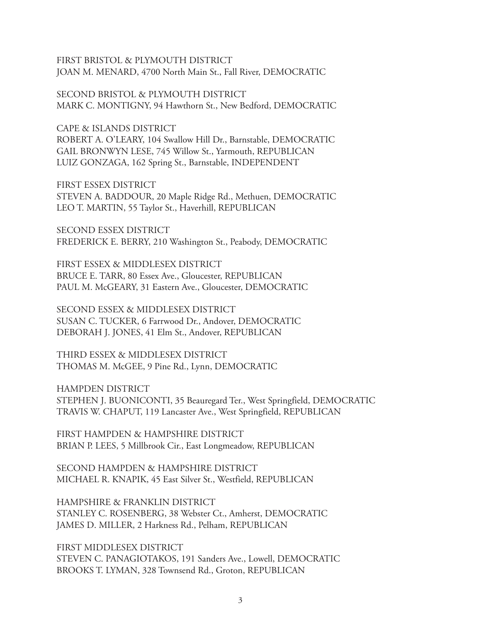FIRST BRISTOL & PLYMOUTH DISTRICT JOAN M. MENARD, 4700 North Main St., Fall River, DEMOCRATIC

SECOND BRISTOL & PLYMOUTH DISTRICT MARK C. MONTIGNY, 94 Hawthorn St., New Bedford, DEMOCRATIC

CAPE & ISLANDS DISTRICT ROBERT A. O'LEARY, 104 Swallow Hill Dr., Barnstable, DEMOCRATIC GAIL BRONWYN LESE, 745 Willow St., Yarmouth, REPUBLICAN LUIZ GONZAGA, 162 Spring St., Barnstable, INDEPENDENT

FIRST ESSEX DISTRICT STEVEN A. BADDOUR, 20 Maple Ridge Rd., Methuen, DEMOCRATIC LEO T. MARTIN, 55 Taylor St., Haverhill, REPUBLICAN

SECOND ESSEX DISTRICT FREDERICK E. BERRY, 210 Washington St., Peabody, DEMOCRATIC

FIRST ESSEX & MIDDLESEX DISTRICT BRUCE E. TARR, 80 Essex Ave., Gloucester, REPUBLICAN PAUL M. McGEARY, 31 Eastern Ave., Gloucester, DEMOCRATIC

SECOND ESSEX & MIDDLESEX DISTRICT SUSAN C. TUCKER, 6 Farrwood Dr., Andover, DEMOCRATIC DEBORAH J. JONES, 41 Elm St., Andover, REPUBLICAN

THIRD ESSEX & MIDDLESEX DISTRICT THOMAS M. McGEE, 9 Pine Rd., Lynn, DEMOCRATIC

HAMPDEN DISTRICT STEPHEN J. BUONICONTI, 35 Beauregard Ter., West Springfield, DEMOCRATIC TRAVIS W. CHAPUT, 119 Lancaster Ave., West Springfield, REPUBLICAN

FIRST HAMPDEN & HAMPSHIRE DISTRICT BRIAN P. LEES, 5 Millbrook Cir., East Longmeadow, REPUBLICAN

SECOND HAMPDEN & HAMPSHIRE DISTRICT MICHAEL R. KNAPIK, 45 East Silver St., Westfield, REPUBLICAN

HAMPSHIRE & FRANKLIN DISTRICT STANLEY C. ROSENBERG, 38 Webster Ct., Amherst, DEMOCRATIC JAMES D. MILLER, 2 Harkness Rd., Pelham, REPUBLICAN

FIRST MIDDLESEX DISTRICT STEVEN C. PANAGIOTAKOS, 191 Sanders Ave., Lowell, DEMOCRATIC BROOKS T. LYMAN, 328 Townsend Rd., Groton, REPUBLICAN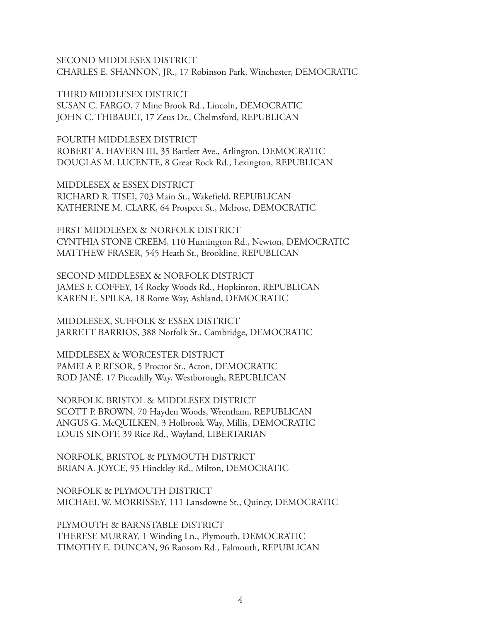SECOND MIDDLESEX DISTRICT CHARLES E. SHANNON, JR., 17 Robinson Park, Winchester, DEMOCRATIC

THIRD MIDDLESEX DISTRICT SUSAN C. FARGO, 7 Mine Brook Rd., Lincoln, DEMOCRATIC JOHN C. THIBAULT, 17 Zeus Dr., Chelmsford, REPUBLICAN

FOURTH MIDDLESEX DISTRICT ROBERT A. HAVERN III, 35 Bartlett Ave., Arlington, DEMOCRATIC DOUGLAS M. LUCENTE, 8 Great Rock Rd., Lexington, REPUBLICAN

MIDDLESEX & ESSEX DISTRICT RICHARD R. TISEI, 703 Main St., Wakefield, REPUBLICAN KATHERINE M. CLARK, 64 Prospect St., Melrose, DEMOCRATIC

FIRST MIDDLESEX & NORFOLK DISTRICT CYNTHIA STONE CREEM, 110 Huntington Rd., Newton, DEMOCRATIC MATTHEW FRASER, 545 Heath St., Brookline, REPUBLICAN

SECOND MIDDLESEX & NORFOLK DISTRICT JAMES F. COFFEY, 14 Rocky Woods Rd., Hopkinton, REPUBLICAN KAREN E. SPILKA, 18 Rome Way, Ashland, DEMOCRATIC

MIDDLESEX, SUFFOLK & ESSEX DISTRICT JARRETT BARRIOS, 388 Norfolk St., Cambridge, DEMOCRATIC

MIDDLESEX & WORCESTER DISTRICT PAMELA P. RESOR, 5 Proctor St., Acton, DEMOCRATIC ROD JANÉ, 17 Piccadilly Way, Westborough, REPUBLICAN

NORFOLK, BRISTOL & MIDDLESEX DISTRICT SCOTT P. BROWN, 70 Hayden Woods, Wrentham, REPUBLICAN ANGUS G. McQUILKEN, 3 Holbrook Way, Millis, DEMOCRATIC LOUIS SINOFF, 39 Rice Rd., Wayland, LIBERTARIAN

NORFOLK, BRISTOL & PLYMOUTH DISTRICT BRIAN A. JOYCE, 95 Hinckley Rd., Milton, DEMOCRATIC

NORFOLK & PLYMOUTH DISTRICT MICHAEL W. MORRISSEY, 111 Lansdowne St., Quincy, DEMOCRATIC

PLYMOUTH & BARNSTABLE DISTRICT THERESE MURRAY, 1 Winding Ln., Plymouth, DEMOCRATIC TIMOTHY E. DUNCAN, 96 Ransom Rd., Falmouth, REPUBLICAN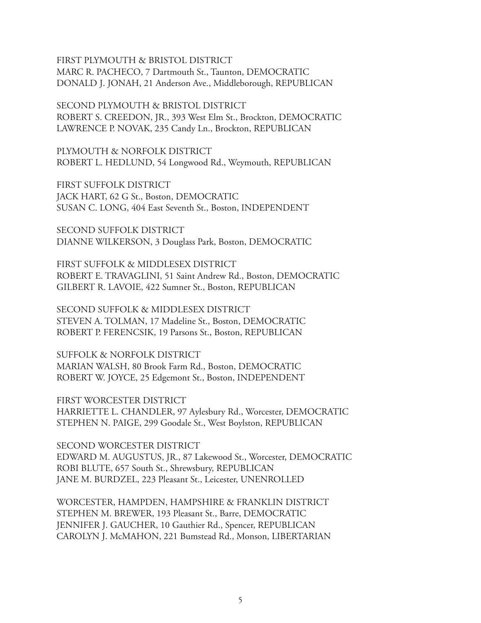FIRST PLYMOUTH & BRISTOL DISTRICT MARC R. PACHECO, 7 Dartmouth St., Taunton, DEMOCRATIC DONALD J. JONAH, 21 Anderson Ave., Middleborough, REPUBLICAN

SECOND PLYMOUTH & BRISTOL DISTRICT ROBERT S. CREEDON, JR., 393 West Elm St., Brockton, DEMOCRATIC LAWRENCE P. NOVAK, 235 Candy Ln., Brockton, REPUBLICAN

PLYMOUTH & NORFOLK DISTRICT ROBERT L. HEDLUND, 54 Longwood Rd., Weymouth, REPUBLICAN

FIRST SUFFOLK DISTRICT JACK HART, 62 G St., Boston, DEMOCRATIC SUSAN C. LONG, 404 East Seventh St., Boston, INDEPENDENT

SECOND SUFFOLK DISTRICT DIANNE WILKERSON, 3 Douglass Park, Boston, DEMOCRATIC

FIRST SUFFOLK & MIDDLESEX DISTRICT ROBERT E. TRAVAGLINI, 51 Saint Andrew Rd., Boston, DEMOCRATIC GILBERT R. LAVOIE, 422 Sumner St., Boston, REPUBLICAN

SECOND SUFFOLK & MIDDLESEX DISTRICT STEVEN A. TOLMAN, 17 Madeline St., Boston, DEMOCRATIC ROBERT P. FERENCSIK, 19 Parsons St., Boston, REPUBLICAN

SUFFOLK & NORFOLK DISTRICT MARIAN WALSH, 80 Brook Farm Rd., Boston, DEMOCRATIC ROBERT W. JOYCE, 25 Edgemont St., Boston, INDEPENDENT

FIRST WORCESTER DISTRICT HARRIETTE L. CHANDLER, 97 Aylesbury Rd., Worcester, DEMOCRATIC STEPHEN N. PAIGE, 299 Goodale St., West Boylston, REPUBLICAN

SECOND WORCESTER DISTRICT EDWARD M. AUGUSTUS, JR., 87 Lakewood St., Worcester, DEMOCRATIC ROBI BLUTE, 657 South St., Shrewsbury, REPUBLICAN JANE M. BURDZEL, 223 Pleasant St., Leicester, UNENROLLED

WORCESTER, HAMPDEN, HAMPSHIRE & FRANKLIN DISTRICT STEPHEN M. BREWER, 193 Pleasant St., Barre, DEMOCRATIC JENNIFER J. GAUCHER, 10 Gauthier Rd., Spencer, REPUBLICAN CAROLYN J. McMAHON, 221 Bumstead Rd., Monson, LIBERTARIAN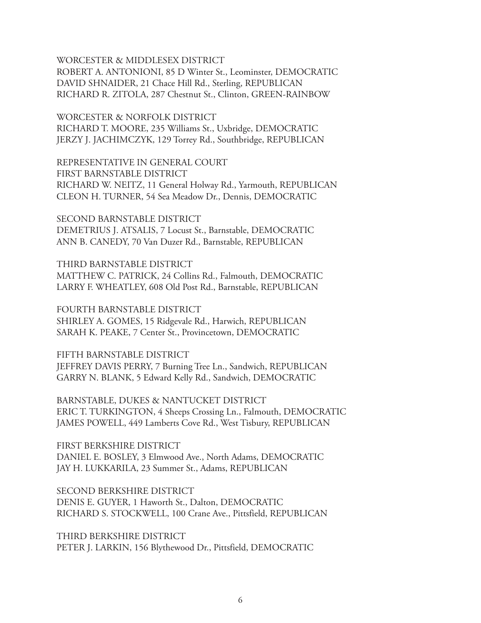WORCESTER & MIDDLESEX DISTRICT

ROBERT A. ANTONIONI, 85 D Winter St., Leominster, DEMOCRATIC DAVID SHNAIDER, 21 Chace Hill Rd., Sterling, REPUBLICAN RICHARD R. ZITOLA, 287 Chestnut St., Clinton, GREEN-RAINBOW

WORCESTER & NORFOLK DISTRICT RICHARD T. MOORE, 235 Williams St., Uxbridge, DEMOCRATIC JERZY J. JACHIMCZYK, 129 Torrey Rd., Southbridge, REPUBLICAN

REPRESENTATIVE IN GENERAL COURT FIRST BARNSTABLE DISTRICT RICHARD W. NEITZ, 11 General Holway Rd., Yarmouth, REPUBLICAN CLEON H. TURNER, 54 Sea Meadow Dr., Dennis, DEMOCRATIC

SECOND BARNSTABLE DISTRICT DEMETRIUS J. ATSALIS, 7 Locust St., Barnstable, DEMOCRATIC ANN B. CANEDY, 70 Van Duzer Rd., Barnstable, REPUBLICAN

THIRD BARNSTABLE DISTRICT MATTHEW C. PATRICK, 24 Collins Rd., Falmouth, DEMOCRATIC LARRY F. WHEATLEY, 608 Old Post Rd., Barnstable, REPUBLICAN

FOURTH BARNSTABLE DISTRICT SHIRLEY A. GOMES, 15 Ridgevale Rd., Harwich, REPUBLICAN SARAH K. PEAKE, 7 Center St., Provincetown, DEMOCRATIC

FIFTH BARNSTABLE DISTRICT JEFFREY DAVIS PERRY, 7 Burning Tree Ln., Sandwich, REPUBLICAN GARRY N. BLANK, 5 Edward Kelly Rd., Sandwich, DEMOCRATIC

BARNSTABLE, DUKES & NANTUCKET DISTRICT ERIC T. TURKINGTON, 4 Sheeps Crossing Ln., Falmouth, DEMOCRATIC JAMES POWELL, 449 Lamberts Cove Rd., West Tisbury, REPUBLICAN

FIRST BERKSHIRE DISTRICT DANIEL E. BOSLEY, 3 Elmwood Ave., North Adams, DEMOCRATIC JAY H. LUKKARILA, 23 Summer St., Adams, REPUBLICAN

SECOND BERKSHIRE DISTRICT DENIS E. GUYER, 1 Haworth St., Dalton, DEMOCRATIC RICHARD S. STOCKWELL, 100 Crane Ave., Pittsfield, REPUBLICAN

THIRD BERKSHIRE DISTRICT PETER J. LARKIN, 156 Blythewood Dr., Pittsfield, DEMOCRATIC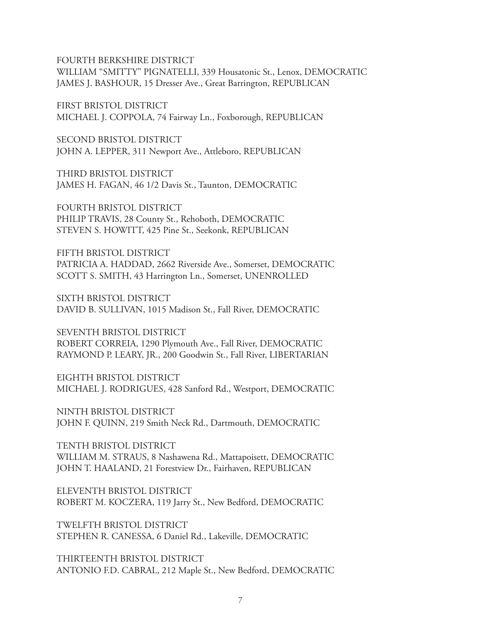FOURTH BERKSHIRE DISTRICT

WILLIAM "SMITTY" PIGNATELLI, 339 Housatonic St., Lenox, DEMOCRATIC JAMES J. BASHOUR, 15 Dresser Ave., Great Barrington, REPUBLICAN

FIRST BRISTOL DISTRICT MICHAEL J. COPPOLA, 74 Fairway Ln., Foxborough, REPUBLICAN

SECOND BRISTOL DISTRICT JOHN A. LEPPER, 311 Newport Ave., Attleboro, REPUBLICAN

THIRD BRISTOL DISTRICT JAMES H. FAGAN, 46 1/2 Davis St., Taunton, DEMOCRATIC

FOURTH BRISTOL DISTRICT PHILIP TRAVIS, 28 County St., Rehoboth, DEMOCRATIC STEVEN S. HOWITT, 425 Pine St., Seekonk, REPUBLICAN

FIFTH BRISTOL DISTRICT PATRICIA A. HADDAD, 2662 Riverside Ave., Somerset, DEMOCRATIC SCOTT S. SMITH, 43 Harrington Ln., Somerset, UNENROLLED

SIXTH BRISTOL DISTRICT DAVID B. SULLIVAN, 1015 Madison St., Fall River, DEMOCRATIC

SEVENTH BRISTOL DISTRICT ROBERT CORREIA, 1290 Plymouth Ave., Fall River, DEMOCRATIC RAYMOND P. LEARY, JR., 200 Goodwin St., Fall River, LIBERTARIAN

EIGHTH BRISTOL DISTRICT MICHAEL J. RODRIGUES, 428 Sanford Rd., Westport, DEMOCRATIC

NINTH BRISTOL DISTRICT JOHN F. QUINN, 219 Smith Neck Rd., Dartmouth, DEMOCRATIC

TENTH BRISTOL DISTRICT WILLIAM M. STRAUS, 8 Nashawena Rd., Mattapoisett, DEMOCRATIC JOHN T. HAALAND, 21 Forestview Dr., Fairhaven, REPUBLICAN

ELEVENTH BRISTOL DISTRICT ROBERT M. KOCZERA, 119 Jarry St., New Bedford, DEMOCRATIC

TWELFTH BRISTOL DISTRICT STEPHEN R. CANESSA, 6 Daniel Rd., Lakeville, DEMOCRATIC

THIRTEENTH BRISTOL DISTRICT ANTONIO F.D. CABRAL, 212 Maple St., New Bedford, DEMOCRATIC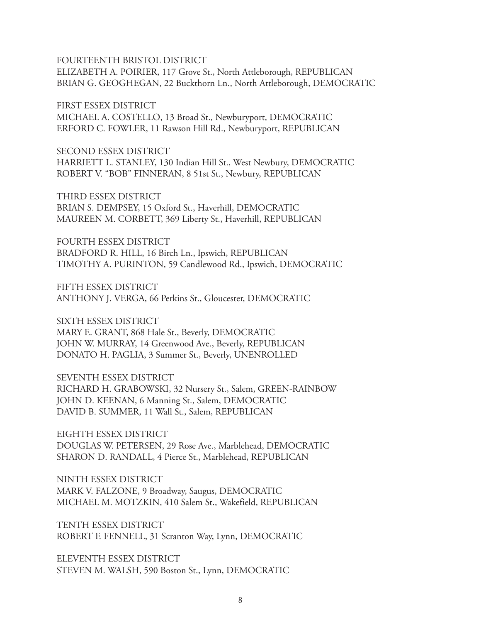FOURTEENTH BRISTOL DISTRICT ELIZABETH A. POIRIER, 117 Grove St., North Attleborough, REPUBLICAN BRIAN G. GEOGHEGAN, 22 Buckthorn Ln., North Attleborough, DEMOCRATIC

FIRST ESSEX DISTRICT MICHAEL A. COSTELLO, 13 Broad St., Newburyport, DEMOCRATIC ERFORD C. FOWLER, 11 Rawson Hill Rd., Newburyport, REPUBLICAN

SECOND ESSEX DISTRICT HARRIETT L. STANLEY, 130 Indian Hill St., West Newbury, DEMOCRATIC ROBERT V. "BOB" FINNERAN, 8 51st St., Newbury, REPUBLICAN

THIRD ESSEX DISTRICT BRIAN S. DEMPSEY, 15 Oxford St., Haverhill, DEMOCRATIC MAUREEN M. CORBETT, 369 Liberty St., Haverhill, REPUBLICAN

FOURTH ESSEX DISTRICT BRADFORD R. HILL, 16 Birch Ln., Ipswich, REPUBLICAN TIMOTHY A. PURINTON, 59 Candlewood Rd., Ipswich, DEMOCRATIC

FIFTH ESSEX DISTRICT ANTHONY J. VERGA, 66 Perkins St., Gloucester, DEMOCRATIC

SIXTH ESSEX DISTRICT

MARY E. GRANT, 868 Hale St., Beverly, DEMOCRATIC JOHN W. MURRAY, 14 Greenwood Ave., Beverly, REPUBLICAN DONATO H. PAGLIA, 3 Summer St., Beverly, UNENROLLED

SEVENTH ESSEX DISTRICT RICHARD H. GRABOWSKI, 32 Nursery St., Salem, GREEN-RAINBOW JOHN D. KEENAN, 6 Manning St., Salem, DEMOCRATIC DAVID B. SUMMER, 11 Wall St., Salem, REPUBLICAN

EIGHTH ESSEX DISTRICT DOUGLAS W. PETERSEN, 29 Rose Ave., Marblehead, DEMOCRATIC SHARON D. RANDALL, 4 Pierce St., Marblehead, REPUBLICAN

NINTH ESSEX DISTRICT MARK V. FALZONE, 9 Broadway, Saugus, DEMOCRATIC MICHAEL M. MOTZKIN, 410 Salem St., Wakefield, REPUBLICAN

TENTH ESSEX DISTRICT ROBERT F. FENNELL, 31 Scranton Way, Lynn, DEMOCRATIC

ELEVENTH ESSEX DISTRICT STEVEN M. WALSH, 590 Boston St., Lynn, DEMOCRATIC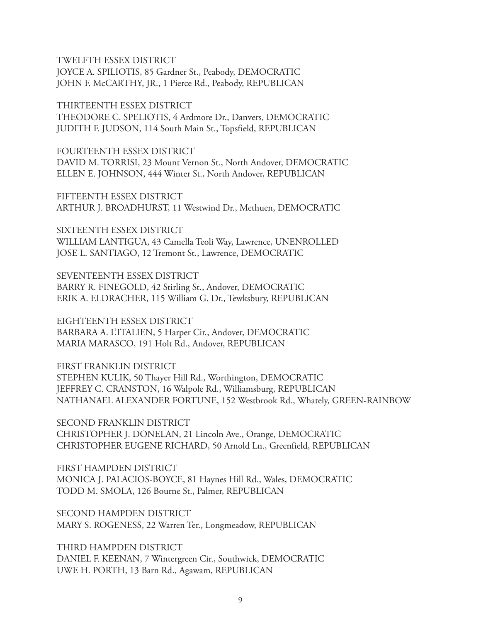TWELFTH ESSEX DISTRICT JOYCE A. SPILIOTIS, 85 Gardner St., Peabody, DEMOCRATIC JOHN F. McCARTHY, JR., 1 Pierce Rd., Peabody, REPUBLICAN

THIRTEENTH ESSEX DISTRICT THEODORE C. SPELIOTIS, 4 Ardmore Dr., Danvers, DEMOCRATIC JUDITH F. JUDSON, 114 South Main St., Topsfield, REPUBLICAN

FOURTEENTH ESSEX DISTRICT DAVID M. TORRISI, 23 Mount Vernon St., North Andover, DEMOCRATIC ELLEN E. JOHNSON, 444 Winter St., North Andover, REPUBLICAN

FIFTEENTH ESSEX DISTRICT ARTHUR J. BROADHURST, 11 Westwind Dr., Methuen, DEMOCRATIC

SIXTEENTH ESSEX DISTRICT WILLIAM LANTIGUA, 43 Camella Teoli Way, Lawrence, UNENROLLED JOSE L. SANTIAGO, 12 Tremont St., Lawrence, DEMOCRATIC

SEVENTEENTH ESSEX DISTRICT BARRY R. FINEGOLD, 42 Stirling St., Andover, DEMOCRATIC ERIK A. ELDRACHER, 115 William G. Dr., Tewksbury, REPUBLICAN

EIGHTEENTH ESSEX DISTRICT BARBARA A. L'ITALIEN, 5 Harper Cir., Andover, DEMOCRATIC MARIA MARASCO, 191 Holt Rd., Andover, REPUBLICAN

FIRST FRANKLIN DISTRICT STEPHEN KULIK, 50 Thayer Hill Rd., Worthington, DEMOCRATIC JEFFREY C. CRANSTON, 16 Walpole Rd., Williamsburg, REPUBLICAN NATHANAEL ALEXANDER FORTUNE, 152 Westbrook Rd., Whately, GREEN-RAINBOW

SECOND FRANKLIN DISTRICT CHRISTOPHER J. DONELAN, 21 Lincoln Ave., Orange, DEMOCRATIC CHRISTOPHER EUGENE RICHARD, 50 Arnold Ln., Greenfield, REPUBLICAN

FIRST HAMPDEN DISTRICT MONICA J. PALACIOS-BOYCE, 81 Haynes Hill Rd., Wales, DEMOCRATIC TODD M. SMOLA, 126 Bourne St., Palmer, REPUBLICAN

SECOND HAMPDEN DISTRICT MARY S. ROGENESS, 22 Warren Ter., Longmeadow, REPUBLICAN

THIRD HAMPDEN DISTRICT DANIEL F. KEENAN, 7 Wintergreen Cir., Southwick, DEMOCRATIC UWE H. PORTH, 13 Barn Rd., Agawam, REPUBLICAN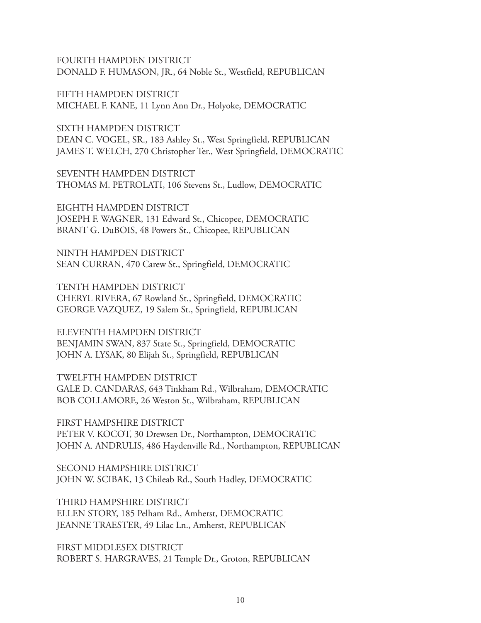#### FOURTH HAMPDEN DISTRICT DONALD F. HUMASON, JR., 64 Noble St., Westfield, REPUBLICAN

FIFTH HAMPDEN DISTRICT MICHAEL F. KANE, 11 Lynn Ann Dr., Holyoke, DEMOCRATIC

SIXTH HAMPDEN DISTRICT DEAN C. VOGEL, SR., 183 Ashley St., West Springfield, REPUBLICAN JAMES T. WELCH, 270 Christopher Ter., West Springfield, DEMOCRATIC

SEVENTH HAMPDEN DISTRICT THOMAS M. PETROLATI, 106 Stevens St., Ludlow, DEMOCRATIC

EIGHTH HAMPDEN DISTRICT JOSEPH F. WAGNER, 131 Edward St., Chicopee, DEMOCRATIC BRANT G. DuBOIS, 48 Powers St., Chicopee, REPUBLICAN

NINTH HAMPDEN DISTRICT SEAN CURRAN, 470 Carew St., Springfield, DEMOCRATIC

TENTH HAMPDEN DISTRICT CHERYL RIVERA, 67 Rowland St., Springfield, DEMOCRATIC GEORGE VAZQUEZ, 19 Salem St., Springfield, REPUBLICAN

ELEVENTH HAMPDEN DISTRICT BENJAMIN SWAN, 837 State St., Springfield, DEMOCRATIC JOHN A. LYSAK, 80 Elijah St., Springfield, REPUBLICAN

TWELFTH HAMPDEN DISTRICT GALE D. CANDARAS, 643 Tinkham Rd., Wilbraham, DEMOCRATIC BOB COLLAMORE, 26 Weston St., Wilbraham, REPUBLICAN

FIRST HAMPSHIRE DISTRICT PETER V. KOCOT, 30 Drewsen Dr., Northampton, DEMOCRATIC JOHN A. ANDRULIS, 486 Haydenville Rd., Northampton, REPUBLICAN

SECOND HAMPSHIRE DISTRICT JOHN W. SCIBAK, 13 Chileab Rd., South Hadley, DEMOCRATIC

THIRD HAMPSHIRE DISTRICT ELLEN STORY, 185 Pelham Rd., Amherst, DEMOCRATIC JEANNE TRAESTER, 49 Lilac Ln., Amherst, REPUBLICAN

FIRST MIDDLESEX DISTRICT ROBERT S. HARGRAVES, 21 Temple Dr., Groton, REPUBLICAN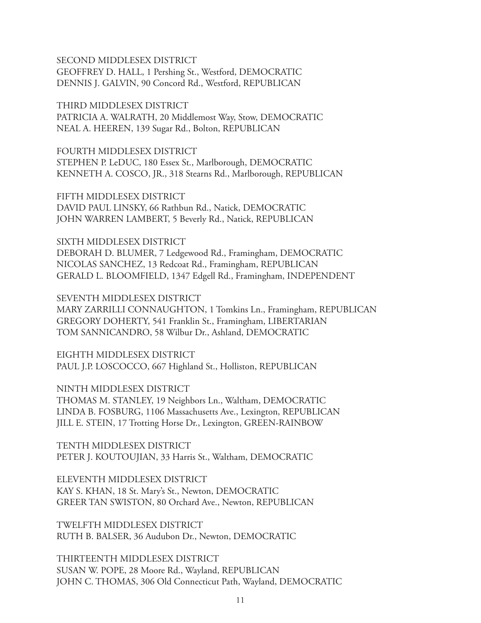# SECOND MIDDLESEX DISTRICT

GEOFFREY D. HALL, 1 Pershing St., Westford, DEMOCRATIC DENNIS J. GALVIN, 90 Concord Rd., Westford, REPUBLICAN

THIRD MIDDLESEX DISTRICT PATRICIA A. WALRATH, 20 Middlemost Way, Stow, DEMOCRATIC NEAL A. HEEREN, 139 Sugar Rd., Bolton, REPUBLICAN

FOURTH MIDDLESEX DISTRICT STEPHEN P. LeDUC, 180 Essex St., Marlborough, DEMOCRATIC KENNETH A. COSCO, JR., 318 Stearns Rd., Marlborough, REPUBLICAN

FIFTH MIDDLESEX DISTRICT DAVID PAUL LINSKY, 66 Rathbun Rd., Natick, DEMOCRATIC JOHN WARREN LAMBERT, 5 Beverly Rd., Natick, REPUBLICAN

SIXTH MIDDLESEX DISTRICT DEBORAH D. BLUMER, 7 Ledgewood Rd., Framingham, DEMOCRATIC NICOLAS SANCHEZ, 13 Redcoat Rd., Framingham, REPUBLICAN GERALD L. BLOOMFIELD, 1347 Edgell Rd., Framingham, INDEPENDENT

SEVENTH MIDDLESEX DISTRICT MARY ZARRILLI CONNAUGHTON, 1 Tomkins Ln., Framingham, REPUBLICAN GREGORY DOHERTY, 541 Franklin St., Framingham, LIBERTARIAN TOM SANNICANDRO, 58 Wilbur Dr., Ashland, DEMOCRATIC

EIGHTH MIDDLESEX DISTRICT PAUL J.P. LOSCOCCO, 667 Highland St., Holliston, REPUBLICAN

NINTH MIDDLESEX DISTRICT THOMAS M. STANLEY, 19 Neighbors Ln., Waltham, DEMOCRATIC LINDA B. FOSBURG, 1106 Massachusetts Ave., Lexington, REPUBLICAN JILL E. STEIN, 17 Trotting Horse Dr., Lexington, GREEN-RAINBOW

TENTH MIDDLESEX DISTRICT PETER J. KOUTOUJIAN, 33 Harris St., Waltham, DEMOCRATIC

ELEVENTH MIDDLESEX DISTRICT KAY S. KHAN, 18 St. Mary's St., Newton, DEMOCRATIC GREER TAN SWISTON, 80 Orchard Ave., Newton, REPUBLICAN

TWELFTH MIDDLESEX DISTRICT RUTH B. BALSER, 36 Audubon Dr., Newton, DEMOCRATIC

THIRTEENTH MIDDLESEX DISTRICT SUSAN W. POPE, 28 Moore Rd., Wayland, REPUBLICAN JOHN C. THOMAS, 306 Old Connecticut Path, Wayland, DEMOCRATIC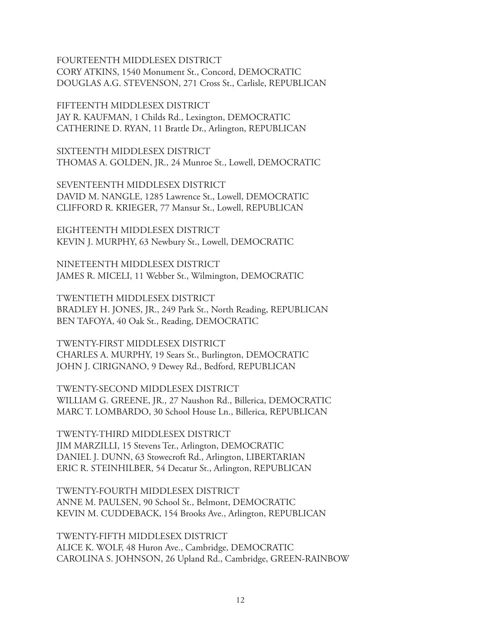FOURTEENTH MIDDLESEX DISTRICT CORY ATKINS, 1540 Monument St., Concord, DEMOCRATIC DOUGLAS A.G. STEVENSON, 271 Cross St., Carlisle, REPUBLICAN

FIFTEENTH MIDDLESEX DISTRICT JAY R. KAUFMAN, 1 Childs Rd., Lexington, DEMOCRATIC CATHERINE D. RYAN, 11 Brattle Dr., Arlington, REPUBLICAN

SIXTEENTH MIDDLESEX DISTRICT THOMAS A. GOLDEN, JR., 24 Munroe St., Lowell, DEMOCRATIC

SEVENTEENTH MIDDLESEX DISTRICT DAVID M. NANGLE, 1285 Lawrence St., Lowell, DEMOCRATIC CLIFFORD R. KRIEGER, 77 Mansur St., Lowell, REPUBLICAN

EIGHTEENTH MIDDLESEX DISTRICT KEVIN J. MURPHY, 63 Newbury St., Lowell, DEMOCRATIC

NINETEENTH MIDDLESEX DISTRICT JAMES R. MICELI, 11 Webber St., Wilmington, DEMOCRATIC

TWENTIETH MIDDLESEX DISTRICT BRADLEY H. JONES, JR., 249 Park St., North Reading, REPUBLICAN BEN TAFOYA, 40 Oak St., Reading, DEMOCRATIC

TWENTY-FIRST MIDDLESEX DISTRICT CHARLES A. MURPHY, 19 Sears St., Burlington, DEMOCRATIC JOHN J. CIRIGNANO, 9 Dewey Rd., Bedford, REPUBLICAN

TWENTY-SECOND MIDDLESEX DISTRICT WILLIAM G. GREENE, JR., 27 Naushon Rd., Billerica, DEMOCRATIC MARC T. LOMBARDO, 30 School House Ln., Billerica, REPUBLICAN

TWENTY-THIRD MIDDLESEX DISTRICT JIM MARZILLI, 15 Stevens Ter., Arlington, DEMOCRATIC DANIEL J. DUNN, 63 Stowecroft Rd., Arlington, LIBERTARIAN ERIC R. STEINHILBER, 54 Decatur St., Arlington, REPUBLICAN

TWENTY-FOURTH MIDDLESEX DISTRICT ANNE M. PAULSEN, 90 School St., Belmont, DEMOCRATIC KEVIN M. CUDDEBACK, 154 Brooks Ave., Arlington, REPUBLICAN

TWENTY-FIFTH MIDDLESEX DISTRICT ALICE K. WOLF, 48 Huron Ave., Cambridge, DEMOCRATIC CAROLINA S. JOHNSON, 26 Upland Rd., Cambridge, GREEN-RAINBOW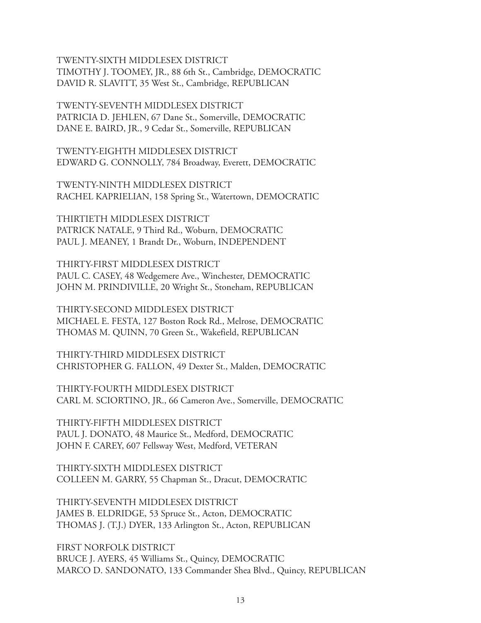TWENTY-SIXTH MIDDLESEX DISTRICT TIMOTHY J. TOOMEY, JR., 88 6th St., Cambridge, DEMOCRATIC DAVID R. SLAVITT, 35 West St., Cambridge, REPUBLICAN

TWENTY-SEVENTH MIDDLESEX DISTRICT PATRICIA D. JEHLEN, 67 Dane St., Somerville, DEMOCRATIC DANE E. BAIRD, JR., 9 Cedar St., Somerville, REPUBLICAN

TWENTY-EIGHTH MIDDLESEX DISTRICT EDWARD G. CONNOLLY, 784 Broadway, Everett, DEMOCRATIC

TWENTY-NINTH MIDDLESEX DISTRICT RACHEL KAPRIELIAN, 158 Spring St., Watertown, DEMOCRATIC

THIRTIETH MIDDLESEX DISTRICT PATRICK NATALE, 9 Third Rd., Woburn, DEMOCRATIC PAUL J. MEANEY, 1 Brandt Dr., Woburn, INDEPENDENT

THIRTY-FIRST MIDDLESEX DISTRICT PAUL C. CASEY, 48 Wedgemere Ave., Winchester, DEMOCRATIC JOHN M. PRINDIVILLE, 20 Wright St., Stoneham, REPUBLICAN

THIRTY-SECOND MIDDLESEX DISTRICT MICHAEL E. FESTA, 127 Boston Rock Rd., Melrose, DEMOCRATIC THOMAS M. QUINN, 70 Green St., Wakefield, REPUBLICAN

THIRTY-THIRD MIDDLESEX DISTRICT CHRISTOPHER G. FALLON, 49 Dexter St., Malden, DEMOCRATIC

THIRTY-FOURTH MIDDLESEX DISTRICT CARL M. SCIORTINO, JR., 66 Cameron Ave., Somerville, DEMOCRATIC

THIRTY-FIFTH MIDDLESEX DISTRICT PAUL J. DONATO, 48 Maurice St., Medford, DEMOCRATIC JOHN F. CAREY, 607 Fellsway West, Medford, VETERAN

THIRTY-SIXTH MIDDLESEX DISTRICT COLLEEN M. GARRY, 55 Chapman St., Dracut, DEMOCRATIC

THIRTY-SEVENTH MIDDLESEX DISTRICT JAMES B. ELDRIDGE, 53 Spruce St., Acton, DEMOCRATIC THOMAS J. (T.J.) DYER, 133 Arlington St., Acton, REPUBLICAN

FIRST NORFOLK DISTRICT BRUCE J. AYERS, 45 Williams St., Quincy, DEMOCRATIC MARCO D. SANDONATO, 133 Commander Shea Blvd., Quincy, REPUBLICAN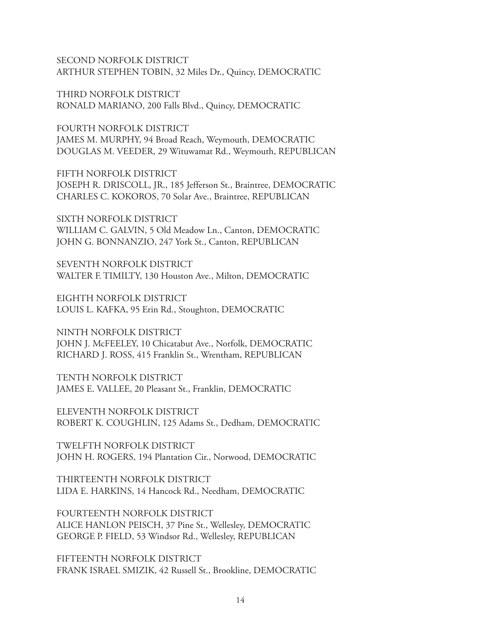SECOND NORFOLK DISTRICT ARTHUR STEPHEN TOBIN, 32 Miles Dr., Quincy, DEMOCRATIC

THIRD NORFOLK DISTRICT RONALD MARIANO, 200 Falls Blvd., Quincy, DEMOCRATIC

FOURTH NORFOLK DISTRICT JAMES M. MURPHY, 94 Broad Reach, Weymouth, DEMOCRATIC DOUGLAS M. VEEDER, 29 Wituwamat Rd., Weymouth, REPUBLICAN

FIFTH NORFOLK DISTRICT JOSEPH R. DRISCOLL, JR., 185 Jefferson St., Braintree, DEMOCRATIC CHARLES C. KOKOROS, 70 Solar Ave., Braintree, REPUBLICAN

SIXTH NORFOLK DISTRICT WILLIAM C. GALVIN, 5 Old Meadow Ln., Canton, DEMOCRATIC JOHN G. BONNANZIO, 247 York St., Canton, REPUBLICAN

SEVENTH NORFOLK DISTRICT WALTER F. TIMILTY, 130 Houston Ave., Milton, DEMOCRATIC

EIGHTH NORFOLK DISTRICT LOUIS L. KAFKA, 95 Erin Rd., Stoughton, DEMOCRATIC

NINTH NORFOLK DISTRICT JOHN J. McFEELEY, 10 Chicatabut Ave., Norfolk, DEMOCRATIC RICHARD J. ROSS, 415 Franklin St., Wrentham, REPUBLICAN

TENTH NORFOLK DISTRICT JAMES E. VALLEE, 20 Pleasant St., Franklin, DEMOCRATIC

ELEVENTH NORFOLK DISTRICT ROBERT K. COUGHLIN, 125 Adams St., Dedham, DEMOCRATIC

TWELFTH NORFOLK DISTRICT JOHN H. ROGERS, 194 Plantation Cir., Norwood, DEMOCRATIC

THIRTEENTH NORFOLK DISTRICT LIDA E. HARKINS, 14 Hancock Rd., Needham, DEMOCRATIC

FOURTEENTH NORFOLK DISTRICT ALICE HANLON PEISCH, 37 Pine St., Wellesley, DEMOCRATIC GEORGE P. FIELD, 53 Windsor Rd., Wellesley, REPUBLICAN

FIFTEENTH NORFOLK DISTRICT FRANK ISRAEL SMIZIK, 42 Russell St., Brookline, DEMOCRATIC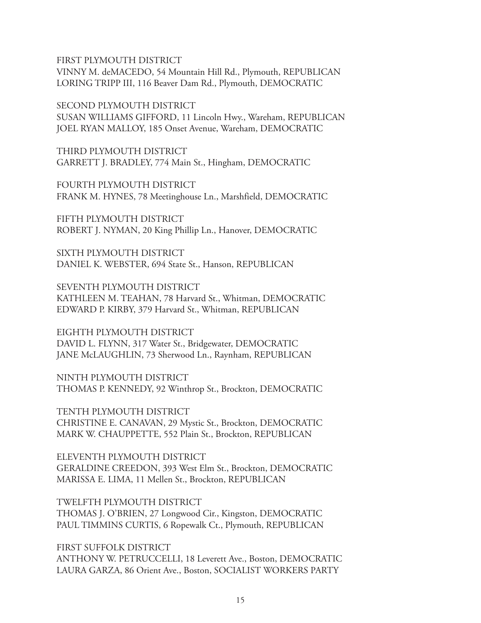FIRST PLYMOUTH DISTRICT

VINNY M. deMACEDO, 54 Mountain Hill Rd., Plymouth, REPUBLICAN LORING TRIPP III, 116 Beaver Dam Rd., Plymouth, DEMOCRATIC

SECOND PLYMOUTH DISTRICT

SUSAN WILLIAMS GIFFORD, 11 Lincoln Hwy., Wareham, REPUBLICAN JOEL RYAN MALLOY, 185 Onset Avenue, Wareham, DEMOCRATIC

THIRD PLYMOUTH DISTRICT GARRETT J. BRADLEY, 774 Main St., Hingham, DEMOCRATIC

FOURTH PLYMOUTH DISTRICT FRANK M. HYNES, 78 Meetinghouse Ln., Marshfield, DEMOCRATIC

FIFTH PLYMOUTH DISTRICT ROBERT J. NYMAN, 20 King Phillip Ln., Hanover, DEMOCRATIC

SIXTH PLYMOUTH DISTRICT DANIEL K. WEBSTER, 694 State St., Hanson, REPUBLICAN

SEVENTH PLYMOUTH DISTRICT KATHLEEN M. TEAHAN, 78 Harvard St., Whitman, DEMOCRATIC EDWARD P. KIRBY, 379 Harvard St., Whitman, REPUBLICAN

EIGHTH PLYMOUTH DISTRICT DAVID L. FLYNN, 317 Water St., Bridgewater, DEMOCRATIC JANE McLAUGHLIN, 73 Sherwood Ln., Raynham, REPUBLICAN

NINTH PLYMOUTH DISTRICT THOMAS P. KENNEDY, 92 Winthrop St., Brockton, DEMOCRATIC

TENTH PLYMOUTH DISTRICT CHRISTINE E. CANAVAN, 29 Mystic St., Brockton, DEMOCRATIC MARK W. CHAUPPETTE, 552 Plain St., Brockton, REPUBLICAN

ELEVENTH PLYMOUTH DISTRICT GERALDINE CREEDON, 393 West Elm St., Brockton, DEMOCRATIC MARISSA E. LIMA, 11 Mellen St., Brockton, REPUBLICAN

TWELFTH PLYMOUTH DISTRICT THOMAS J. O'BRIEN, 27 Longwood Cir., Kingston, DEMOCRATIC PAUL TIMMINS CURTIS, 6 Ropewalk Ct., Plymouth, REPUBLICAN

FIRST SUFFOLK DISTRICT ANTHONY W. PETRUCCELLI, 18 Leverett Ave., Boston, DEMOCRATIC LAURA GARZA, 86 Orient Ave., Boston, SOCIALIST WORKERS PARTY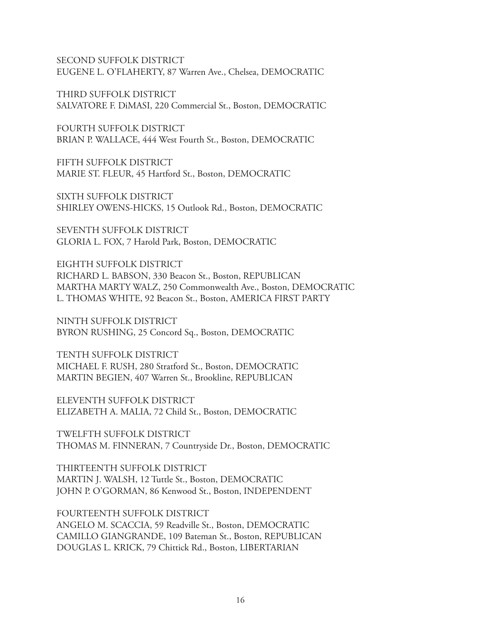SECOND SUFFOLK DISTRICT EUGENE L. O'FLAHERTY, 87 Warren Ave., Chelsea, DEMOCRATIC

THIRD SUFFOLK DISTRICT SALVATORE F. DiMASI, 220 Commercial St., Boston, DEMOCRATIC

FOURTH SUFFOLK DISTRICT BRIAN P. WALLACE, 444 West Fourth St., Boston, DEMOCRATIC

FIFTH SUFFOLK DISTRICT MARIE ST. FLEUR, 45 Hartford St., Boston, DEMOCRATIC

SIXTH SUFFOLK DISTRICT SHIRLEY OWENS-HICKS, 15 Outlook Rd., Boston, DEMOCRATIC

SEVENTH SUFFOLK DISTRICT GLORIA L. FOX, 7 Harold Park, Boston, DEMOCRATIC

EIGHTH SUFFOLK DISTRICT RICHARD L. BABSON, 330 Beacon St., Boston, REPUBLICAN MARTHA MARTY WALZ, 250 Commonwealth Ave., Boston, DEMOCRATIC L. THOMAS WHITE, 92 Beacon St., Boston, AMERICA FIRST PARTY

NINTH SUFFOLK DISTRICT BYRON RUSHING, 25 Concord Sq., Boston, DEMOCRATIC

TENTH SUFFOLK DISTRICT MICHAEL F. RUSH, 280 Stratford St., Boston, DEMOCRATIC MARTIN BEGIEN, 407 Warren St., Brookline, REPUBLICAN

ELEVENTH SUFFOLK DISTRICT ELIZABETH A. MALIA, 72 Child St., Boston, DEMOCRATIC

TWELFTH SUFFOLK DISTRICT THOMAS M. FINNERAN, 7 Countryside Dr., Boston, DEMOCRATIC

THIRTEENTH SUFFOLK DISTRICT MARTIN J. WALSH, 12 Tuttle St., Boston, DEMOCRATIC JOHN P. O'GORMAN, 86 Kenwood St., Boston, INDEPENDENT

FOURTEENTH SUFFOLK DISTRICT ANGELO M. SCACCIA, 59 Readville St., Boston, DEMOCRATIC CAMILLO GIANGRANDE, 109 Bateman St., Boston, REPUBLICAN DOUGLAS L. KRICK, 79 Chittick Rd., Boston, LIBERTARIAN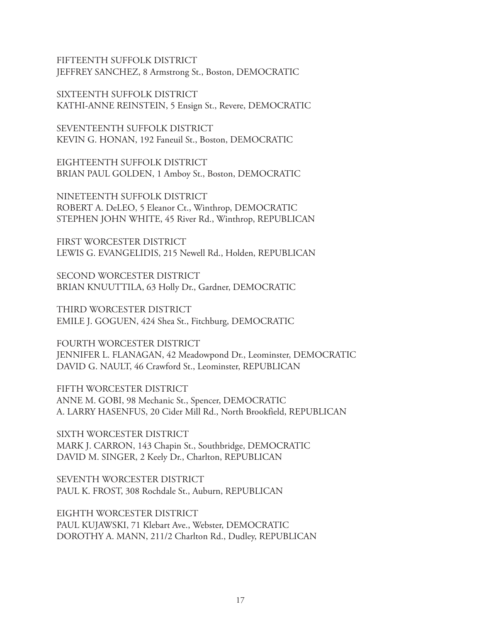FIFTEENTH SUFFOLK DISTRICT JEFFREY SANCHEZ, 8 Armstrong St., Boston, DEMOCRATIC

SIXTEENTH SUFFOLK DISTRICT KATHI-ANNE REINSTEIN, 5 Ensign St., Revere, DEMOCRATIC

SEVENTEENTH SUFFOLK DISTRICT KEVIN G. HONAN, 192 Faneuil St., Boston, DEMOCRATIC

EIGHTEENTH SUFFOLK DISTRICT BRIAN PAUL GOLDEN, 1 Amboy St., Boston, DEMOCRATIC

NINETEENTH SUFFOLK DISTRICT ROBERT A. DeLEO, 5 Eleanor Ct., Winthrop, DEMOCRATIC STEPHEN JOHN WHITE, 45 River Rd., Winthrop, REPUBLICAN

FIRST WORCESTER DISTRICT LEWIS G. EVANGELIDIS, 215 Newell Rd., Holden, REPUBLICAN

SECOND WORCESTER DISTRICT BRIAN KNUUTTILA, 63 Holly Dr., Gardner, DEMOCRATIC

THIRD WORCESTER DISTRICT EMILE J. GOGUEN, 424 Shea St., Fitchburg, DEMOCRATIC

FOURTH WORCESTER DISTRICT JENNIFER L. FLANAGAN, 42 Meadowpond Dr., Leominster, DEMOCRATIC DAVID G. NAULT, 46 Crawford St., Leominster, REPUBLICAN

FIFTH WORCESTER DISTRICT ANNE M. GOBI, 98 Mechanic St., Spencer, DEMOCRATIC A. LARRY HASENFUS, 20 Cider Mill Rd., North Brookfield, REPUBLICAN

SIXTH WORCESTER DISTRICT MARK J. CARRON, 143 Chapin St., Southbridge, DEMOCRATIC DAVID M. SINGER, 2 Keely Dr., Charlton, REPUBLICAN

SEVENTH WORCESTER DISTRICT PAUL K. FROST, 308 Rochdale St., Auburn, REPUBLICAN

EIGHTH WORCESTER DISTRICT PAUL KUJAWSKI, 71 Klebart Ave., Webster, DEMOCRATIC DOROTHY A. MANN, 211/2 Charlton Rd., Dudley, REPUBLICAN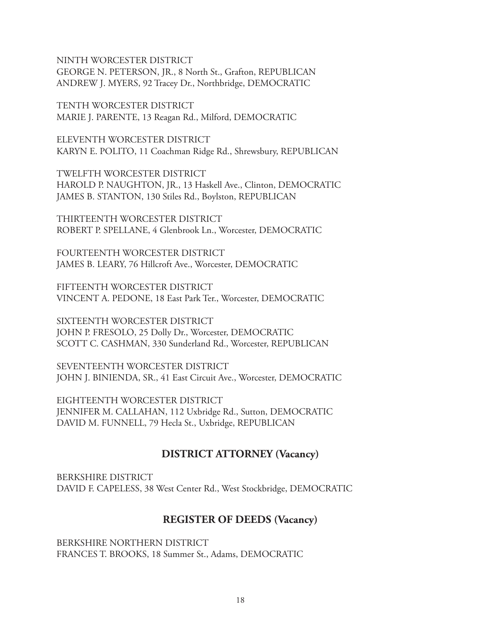NINTH WORCESTER DISTRICT GEORGE N. PETERSON, JR., 8 North St., Grafton, REPUBLICAN ANDREW J. MYERS, 92 Tracey Dr., Northbridge, DEMOCRATIC

TENTH WORCESTER DISTRICT MARIE J. PARENTE, 13 Reagan Rd., Milford, DEMOCRATIC

ELEVENTH WORCESTER DISTRICT KARYN E. POLITO, 11 Coachman Ridge Rd., Shrewsbury, REPUBLICAN

TWELFTH WORCESTER DISTRICT HAROLD P. NAUGHTON, JR., 13 Haskell Ave., Clinton, DEMOCRATIC JAMES B. STANTON, 130 Stiles Rd., Boylston, REPUBLICAN

THIRTEENTH WORCESTER DISTRICT ROBERT P. SPELLANE, 4 Glenbrook Ln., Worcester, DEMOCRATIC

FOURTEENTH WORCESTER DISTRICT JAMES B. LEARY, 76 Hillcroft Ave., Worcester, DEMOCRATIC

FIFTEENTH WORCESTER DISTRICT VINCENT A. PEDONE, 18 East Park Ter., Worcester, DEMOCRATIC

SIXTEENTH WORCESTER DISTRICT JOHN P. FRESOLO, 25 Dolly Dr., Worcester, DEMOCRATIC SCOTT C. CASHMAN, 330 Sunderland Rd., Worcester, REPUBLICAN

SEVENTEENTH WORCESTER DISTRICT JOHN J. BINIENDA, SR., 41 East Circuit Ave., Worcester, DEMOCRATIC

EIGHTEENTH WORCESTER DISTRICT JENNIFER M. CALLAHAN, 112 Uxbridge Rd., Sutton, DEMOCRATIC DAVID M. FUNNELL, 79 Hecla St., Uxbridge, REPUBLICAN

# **DISTRICT ATTORNEY (Vacancy)**

BERKSHIRE DISTRICT DAVID F. CAPELESS, 38 West Center Rd., West Stockbridge, DEMOCRATIC

# **REGISTER OF DEEDS (Vacancy)**

BERKSHIRE NORTHERN DISTRICT FRANCES T. BROOKS, 18 Summer St., Adams, DEMOCRATIC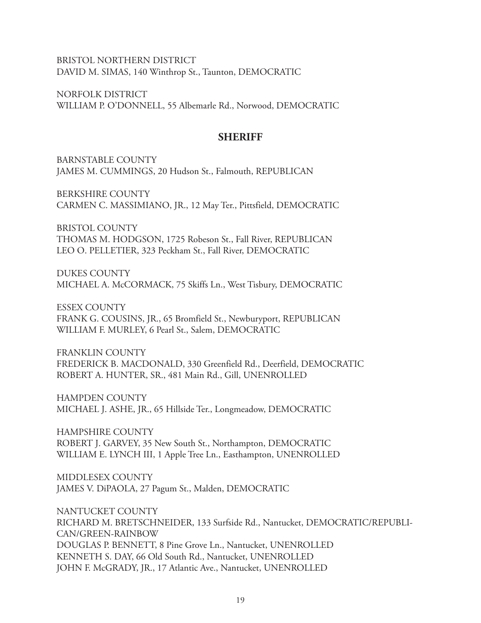BRISTOL NORTHERN DISTRICT DAVID M. SIMAS, 140 Winthrop St., Taunton, DEMOCRATIC

NORFOLK DISTRICT WILLIAM P. O'DONNELL, 55 Albemarle Rd., Norwood, DEMOCRATIC

#### **SHERIFF**

BARNSTABLE COUNTY JAMES M. CUMMINGS, 20 Hudson St., Falmouth, REPUBLICAN

BERKSHIRE COUNTY CARMEN C. MASSIMIANO, JR., 12 May Ter., Pittsfield, DEMOCRATIC

BRISTOL COUNTY THOMAS M. HODGSON, 1725 Robeson St., Fall River, REPUBLICAN LEO O. PELLETIER, 323 Peckham St., Fall River, DEMOCRATIC

DUKES COUNTY MICHAEL A. McCORMACK, 75 Skiffs Ln., West Tisbury, DEMOCRATIC

ESSEX COUNTY FRANK G. COUSINS, JR., 65 Bromfield St., Newburyport, REPUBLICAN WILLIAM F. MURLEY, 6 Pearl St., Salem, DEMOCRATIC

FRANKLIN COUNTY FREDERICK B. MACDONALD, 330 Greenfield Rd., Deerfield, DEMOCRATIC ROBERT A. HUNTER, SR., 481 Main Rd., Gill, UNENROLLED

HAMPDEN COUNTY MICHAEL J. ASHE, JR., 65 Hillside Ter., Longmeadow, DEMOCRATIC

HAMPSHIRE COUNTY ROBERT J. GARVEY, 35 New South St., Northampton, DEMOCRATIC WILLIAM E. LYNCH III, 1 Apple Tree Ln., Easthampton, UNENROLLED

MIDDLESEX COUNTY JAMES V. DiPAOLA, 27 Pagum St., Malden, DEMOCRATIC

NANTUCKET COUNTY RICHARD M. BRETSCHNEIDER, 133 Surfside Rd., Nantucket, DEMOCRATIC/REPUBLI-CAN/GREEN-RAINBOW DOUGLAS P. BENNETT, 8 Pine Grove Ln., Nantucket, UNENROLLED KENNETH S. DAY, 66 Old South Rd., Nantucket, UNENROLLED JOHN F. McGRADY, JR., 17 Atlantic Ave., Nantucket, UNENROLLED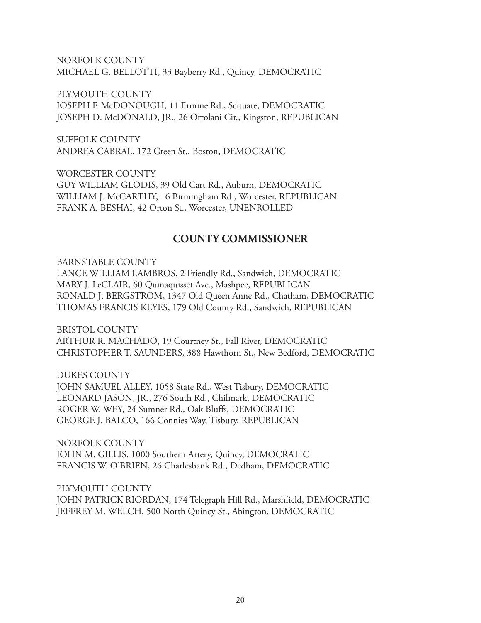NORFOLK COUNTY MICHAEL G. BELLOTTI, 33 Bayberry Rd., Quincy, DEMOCRATIC

PLYMOUTH COUNTY

JOSEPH F. McDONOUGH, 11 Ermine Rd., Scituate, DEMOCRATIC JOSEPH D. McDONALD, JR., 26 Ortolani Cir., Kingston, REPUBLICAN

SUFFOLK COUNTY ANDREA CABRAL, 172 Green St., Boston, DEMOCRATIC

WORCESTER COUNTY GUY WILLIAM GLODIS, 39 Old Cart Rd., Auburn, DEMOCRATIC WILLIAM J. McCARTHY, 16 Birmingham Rd., Worcester, REPUBLICAN FRANK A. BESHAI, 42 Orton St., Worcester, UNENROLLED

## **COUNTY COMMISSIONER**

BARNSTABLE COUNTY LANCE WILLIAM LAMBROS, 2 Friendly Rd., Sandwich, DEMOCRATIC MARY J. LeCLAIR, 60 Quinaquisset Ave., Mashpee, REPUBLICAN RONALD J. BERGSTROM, 1347 Old Queen Anne Rd., Chatham, DEMOCRATIC THOMAS FRANCIS KEYES, 179 Old County Rd., Sandwich, REPUBLICAN

BRISTOL COUNTY ARTHUR R. MACHADO, 19 Courtney St., Fall River, DEMOCRATIC CHRISTOPHER T. SAUNDERS, 388 Hawthorn St., New Bedford, DEMOCRATIC

DUKES COUNTY JOHN SAMUEL ALLEY, 1058 State Rd., West Tisbury, DEMOCRATIC LEONARD JASON, JR., 276 South Rd., Chilmark, DEMOCRATIC ROGER W. WEY, 24 Sumner Rd., Oak Bluffs, DEMOCRATIC GEORGE J. BALCO, 166 Connies Way, Tisbury, REPUBLICAN

NORFOLK COUNTY JOHN M. GILLIS, 1000 Southern Artery, Quincy, DEMOCRATIC FRANCIS W. O'BRIEN, 26 Charlesbank Rd., Dedham, DEMOCRATIC

PLYMOUTH COUNTY JOHN PATRICK RIORDAN, 174 Telegraph Hill Rd., Marshfield, DEMOCRATIC JEFFREY M. WELCH, 500 North Quincy St., Abington, DEMOCRATIC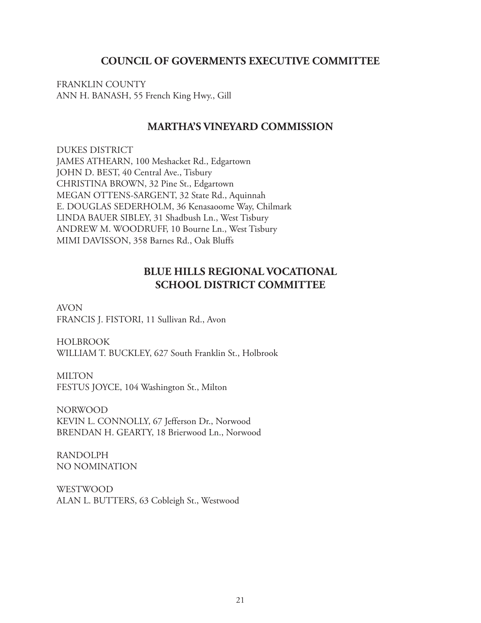#### **COUNCIL OF GOVERMENTS EXECUTIVE COMMITTEE**

FRANKLIN COUNTY ANN H. BANASH, 55 French King Hwy., Gill

#### **MARTHA'S VINEYARD COMMISSION**

DUKES DISTRICT JAMES ATHEARN, 100 Meshacket Rd., Edgartown JOHN D. BEST, 40 Central Ave., Tisbury CHRISTINA BROWN, 32 Pine St., Edgartown MEGAN OTTENS-SARGENT, 32 State Rd., Aquinnah E. DOUGLAS SEDERHOLM, 36 Kenasaoome Way, Chilmark LINDA BAUER SIBLEY, 31 Shadbush Ln., West Tisbury ANDREW M. WOODRUFF, 10 Bourne Ln., West Tisbury MIMI DAVISSON, 358 Barnes Rd., Oak Bluffs

## **BLUE HILLS REGIONAL VOCATIONAL SCHOOL DISTRICT COMMITTEE**

AVON FRANCIS J. FISTORI, 11 Sullivan Rd., Avon

HOLBROOK WILLIAM T. BUCKLEY, 627 South Franklin St., Holbrook

MILTON FESTUS JOYCE, 104 Washington St., Milton

NORWOOD KEVIN L. CONNOLLY, 67 Jefferson Dr., Norwood BRENDAN H. GEARTY, 18 Brierwood Ln., Norwood

RANDOLPH NO NOMINATION

WESTWOOD ALAN L. BUTTERS, 63 Cobleigh St., Westwood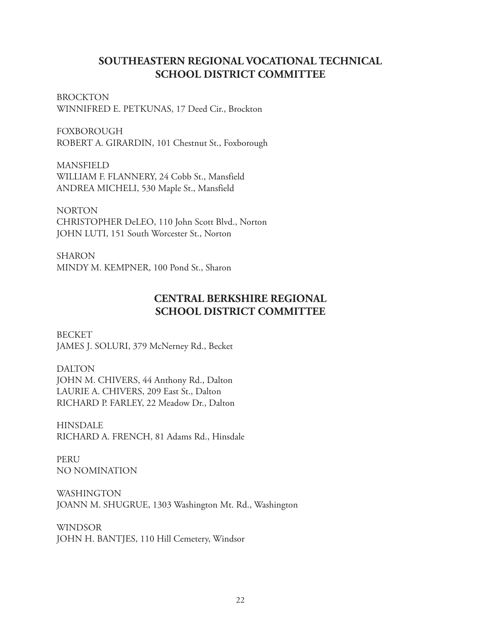## **SOUTHEASTERN REGIONAL VOCATIONAL TECHNICAL SCHOOL DISTRICT COMMITTEE**

**BROCKTON** WINNIFRED E. PETKUNAS, 17 Deed Cir., Brockton

FOXBOROUGH ROBERT A. GIRARDIN, 101 Chestnut St., Foxborough

MANSFIELD WILLIAM F. FLANNERY, 24 Cobb St., Mansfield ANDREA MICHELI, 530 Maple St., Mansfield

NORTON CHRISTOPHER DeLEO, 110 John Scott Blvd., Norton JOHN LUTI, 151 South Worcester St., Norton

SHARON MINDY M. KEMPNER, 100 Pond St., Sharon

# **CENTRAL BERKSHIRE REGIONAL SCHOOL DISTRICT COMMITTEE**

**BECKET** JAMES J. SOLURI, 379 McNerney Rd., Becket

DALTON JOHN M. CHIVERS, 44 Anthony Rd., Dalton LAURIE A. CHIVERS, 209 East St., Dalton RICHARD P. FARLEY, 22 Meadow Dr., Dalton

HINSDALE RICHARD A. FRENCH, 81 Adams Rd., Hinsdale

PERU NO NOMINATION

WASHINGTON JOANN M. SHUGRUE, 1303 Washington Mt. Rd., Washington

WINDSOR JOHN H. BANTJES, 110 Hill Cemetery, Windsor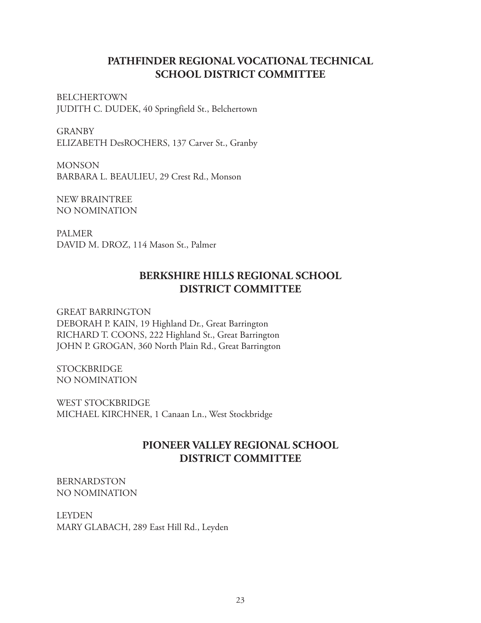## **PATHFINDER REGIONAL VOCATIONAL TECHNICAL SCHOOL DISTRICT COMMITTEE**

BELCHERTOWN JUDITH C. DUDEK, 40 Springfield St., Belchertown

GRANBY ELIZABETH DesROCHERS, 137 Carver St., Granby

MONSON BARBARA L. BEAULIEU, 29 Crest Rd., Monson

NEW BRAINTREE NO NOMINATION

PALMER DAVID M. DROZ, 114 Mason St., Palmer

# **BERKSHIRE HILLS REGIONAL SCHOOL DISTRICT COMMITTEE**

GREAT BARRINGTON DEBORAH P. KAIN, 19 Highland Dr., Great Barrington RICHARD T. COONS, 222 Highland St., Great Barrington JOHN P. GROGAN, 360 North Plain Rd., Great Barrington

**STOCKBRIDGE** NO NOMINATION

WEST STOCKBRIDGE MICHAEL KIRCHNER, 1 Canaan Ln., West Stockbridge

# **PIONEER VALLEY REGIONAL SCHOOL DISTRICT COMMITTEE**

BERNARDSTON NO NOMINATION

LEYDEN MARY GLABACH, 289 East Hill Rd., Leyden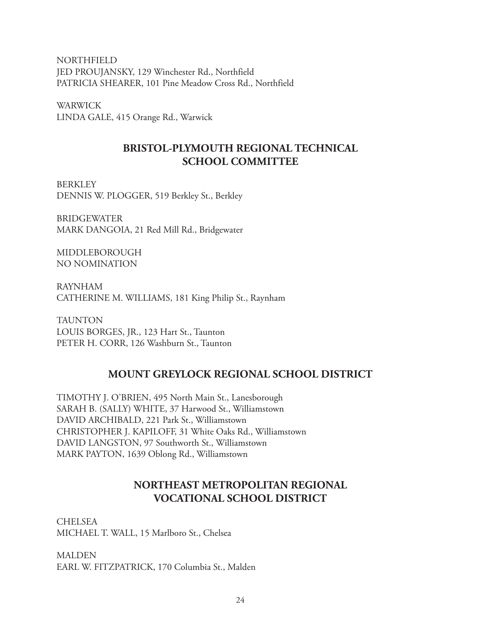NORTHFIELD JED PROUJANSKY, 129 Winchester Rd., Northfield PATRICIA SHEARER, 101 Pine Meadow Cross Rd., Northfield

WARWICK LINDA GALE, 415 Orange Rd., Warwick

# **BRISTOL-PLYMOUTH REGIONAL TECHNICAL SCHOOL COMMITTEE**

**BERKLEY** DENNIS W. PLOGGER, 519 Berkley St., Berkley

BRIDGEWATER MARK DANGOIA, 21 Red Mill Rd., Bridgewater

MIDDLEBOROUGH NO NOMINATION

RAYNHAM CATHERINE M. WILLIAMS, 181 King Philip St., Raynham

TAUNTON LOUIS BORGES, JR., 123 Hart St., Taunton PETER H. CORR, 126 Washburn St., Taunton

# **MOUNT GREYLOCK REGIONAL SCHOOL DISTRICT**

TIMOTHY J. O'BRIEN, 495 North Main St., Lanesborough SARAH B. (SALLY) WHITE, 37 Harwood St., Williamstown DAVID ARCHIBALD, 221 Park St., Williamstown CHRISTOPHER J. KAPILOFF, 31 White Oaks Rd., Williamstown DAVID LANGSTON, 97 Southworth St., Williamstown MARK PAYTON, 1639 Oblong Rd., Williamstown

# **NORTHEAST METROPOLITAN REGIONAL VOCATIONAL SCHOOL DISTRICT**

CHELSEA MICHAEL T. WALL, 15 Marlboro St., Chelsea

**MALDEN** EARL W. FITZPATRICK, 170 Columbia St., Malden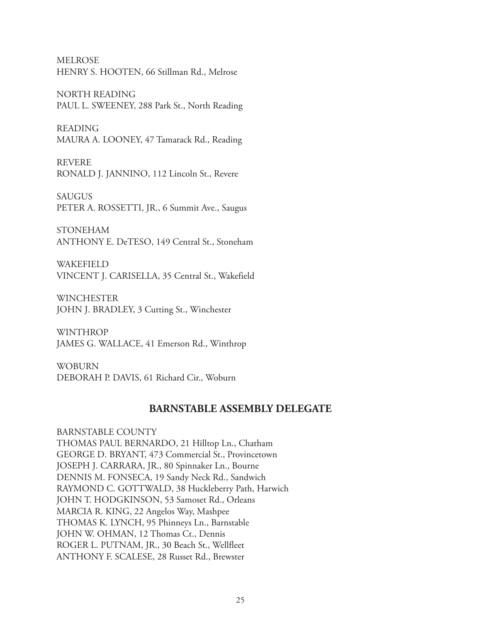MELROSE HENRY S. HOOTEN, 66 Stillman Rd., Melrose

NORTH READING PAUL L. SWEENEY, 288 Park St., North Reading

READING MAURA A. LOONEY, 47 Tamarack Rd., Reading

REVERE RONALD J. JANNINO, 112 Lincoln St., Revere

**SAUGUS** PETER A. ROSSETTI, JR., 6 Summit Ave., Saugus

STONEHAM ANTHONY E. DeTESO, 149 Central St., Stoneham

WAKEFIELD VINCENT J. CARISELLA, 35 Central St., Wakefield

WINCHESTER JOHN J. BRADLEY, 3 Cutting St., Winchester

**WINTHROP** JAMES G. WALLACE, 41 Emerson Rd., Winthrop

WOBURN DEBORAH P. DAVIS, 61 Richard Cir., Woburn

#### **BARNSTABLE ASSEMBLY DELEGATE**

BARNSTABLE COUNTY THOMAS PAUL BERNARDO, 21 Hilltop Ln., Chatham GEORGE D. BRYANT, 473 Commercial St., Provincetown JOSEPH J. CARRARA, JR., 80 Spinnaker Ln., Bourne DENNIS M. FONSECA, 19 Sandy Neck Rd., Sandwich RAYMOND C. GOTTWALD, 38 Huckleberry Path, Harwich JOHN T. HODGKINSON, 53 Samoset Rd., Orleans MARCIA R. KING, 22 Angelos Way, Mashpee THOMAS K. LYNCH, 95 Phinneys Ln., Barnstable JOHN W. OHMAN, 12 Thomas Ct., Dennis ROGER L. PUTNAM, JR., 30 Beach St., Wellfleet ANTHONY F. SCALESE, 28 Russet Rd., Brewster